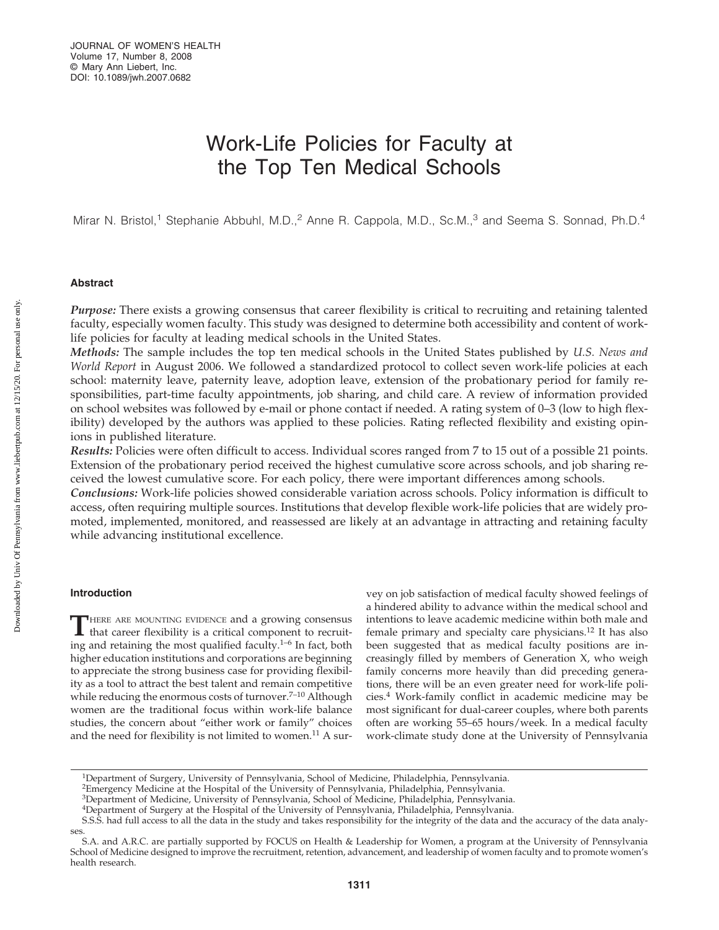# Work-Life Policies for Faculty at the Top Ten Medical Schools

Mirar N. Bristol,<sup>1</sup> Stephanie Abbuhl, M.D.,<sup>2</sup> Anne R. Cappola, M.D., Sc.M.,<sup>3</sup> and Seema S. Sonnad, Ph.D.<sup>4</sup>

### **Abstract**

*Purpose:* There exists a growing consensus that career flexibility is critical to recruiting and retaining talented faculty, especially women faculty. This study was designed to determine both accessibility and content of worklife policies for faculty at leading medical schools in the United States.

*Methods:* The sample includes the top ten medical schools in the United States published by *U.S. News and World Report* in August 2006. We followed a standardized protocol to collect seven work-life policies at each school: maternity leave, paternity leave, adoption leave, extension of the probationary period for family responsibilities, part-time faculty appointments, job sharing, and child care. A review of information provided on school websites was followed by e-mail or phone contact if needed. A rating system of 0–3 (low to high flexibility) developed by the authors was applied to these policies. Rating reflected flexibility and existing opinions in published literature.

*Results:* Policies were often difficult to access. Individual scores ranged from 7 to 15 out of a possible 21 points. Extension of the probationary period received the highest cumulative score across schools, and job sharing received the lowest cumulative score. For each policy, there were important differences among schools.

*Conclusions:* Work-life policies showed considerable variation across schools. Policy information is difficult to access, often requiring multiple sources. Institutions that develop flexible work-life policies that are widely promoted, implemented, monitored, and reassessed are likely at an advantage in attracting and retaining faculty while advancing institutional excellence.

## **Introduction**

THERE ARE MOUNTING EVIDENCE and a growing consensus<br>that career flexibility is a critical component to recruiting and retaining the most qualified faculty.<sup>1-6</sup> In fact, both higher education institutions and corporations are beginning to appreciate the strong business case for providing flexibility as a tool to attract the best talent and remain competitive while reducing the enormous costs of turnover.<sup>7-10</sup> Although women are the traditional focus within work-life balance studies, the concern about "either work or family" choices and the need for flexibility is not limited to women.<sup>11</sup> A sur-

vey on job satisfaction of medical faculty showed feelings of a hindered ability to advance within the medical school and intentions to leave academic medicine within both male and female primary and specialty care physicians.<sup>12</sup> It has also been suggested that as medical faculty positions are increasingly filled by members of Generation X, who weigh family concerns more heavily than did preceding generations, there will be an even greater need for work-life policies.4 Work-family conflict in academic medicine may be most significant for dual-career couples, where both parents often are working 55–65 hours/week. In a medical faculty work-climate study done at the University of Pennsylvania

<sup>1</sup>Department of Surgery, University of Pennsylvania, School of Medicine, Philadelphia, Pennsylvania.

<sup>2</sup>Emergency Medicine at the Hospital of the University of Pennsylvania, Philadelphia, Pennsylvania.

<sup>3</sup>Department of Medicine, University of Pennsylvania, School of Medicine, Philadelphia, Pennsylvania.

<sup>4</sup>Department of Surgery at the Hospital of the University of Pennsylvania, Philadelphia, Pennsylvania.

S.S.S. had full access to all the data in the study and takes responsibility for the integrity of the data and the accuracy of the data analy-

ses.

S.A. and A.R.C. are partially supported by FOCUS on Health & Leadership for Women, a program at the University of Pennsylvania School of Medicine designed to improve the recruitment, retention, advancement, and leadership of women faculty and to promote women's health research.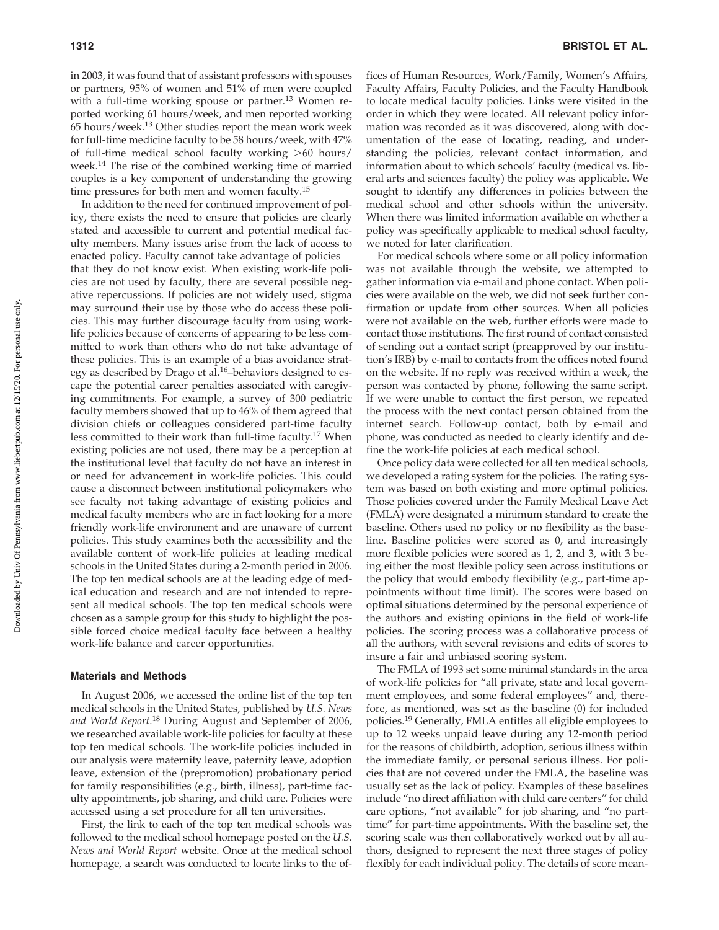in 2003, it was found that of assistant professors with spouses or partners, 95% of women and 51% of men were coupled with a full-time working spouse or partner.<sup>13</sup> Women reported working 61 hours/week, and men reported working 65 hours/week.13 Other studies report the mean work week for full-time medicine faculty to be 58 hours/week, with 47% of full-time medical school faculty working >60 hours/ week.14 The rise of the combined working time of married couples is a key component of understanding the growing time pressures for both men and women faculty.<sup>15</sup>

In addition to the need for continued improvement of policy, there exists the need to ensure that policies are clearly stated and accessible to current and potential medical faculty members. Many issues arise from the lack of access to enacted policy. Faculty cannot take advantage of policies that they do not know exist. When existing work-life policies are not used by faculty, there are several possible negative repercussions. If policies are not widely used, stigma may surround their use by those who do access these policies. This may further discourage faculty from using worklife policies because of concerns of appearing to be less committed to work than others who do not take advantage of these policies. This is an example of a bias avoidance strategy as described by Drago et al.<sup>16</sup>-behaviors designed to escape the potential career penalties associated with caregiving commitments. For example, a survey of 300 pediatric faculty members showed that up to 46% of them agreed that division chiefs or colleagues considered part-time faculty less committed to their work than full-time faculty.17 When existing policies are not used, there may be a perception at the institutional level that faculty do not have an interest in or need for advancement in work-life policies. This could cause a disconnect between institutional policymakers who see faculty not taking advantage of existing policies and medical faculty members who are in fact looking for a more friendly work-life environment and are unaware of current policies. This study examines both the accessibility and the available content of work-life policies at leading medical schools in the United States during a 2-month period in 2006. The top ten medical schools are at the leading edge of medical education and research and are not intended to represent all medical schools. The top ten medical schools were chosen as a sample group for this study to highlight the possible forced choice medical faculty face between a healthy work-life balance and career opportunities.

#### **Materials and Methods**

In August 2006, we accessed the online list of the top ten medical schools in the United States, published by *U.S. News and World Report*. <sup>18</sup> During August and September of 2006, we researched available work-life policies for faculty at these top ten medical schools. The work-life policies included in our analysis were maternity leave, paternity leave, adoption leave, extension of the (prepromotion) probationary period for family responsibilities (e.g., birth, illness), part-time faculty appointments, job sharing, and child care. Policies were accessed using a set procedure for all ten universities.

First, the link to each of the top ten medical schools was followed to the medical school homepage posted on the *U.S. News and World Report* website. Once at the medical school homepage, a search was conducted to locate links to the offices of Human Resources, Work/Family, Women's Affairs, Faculty Affairs, Faculty Policies, and the Faculty Handbook to locate medical faculty policies. Links were visited in the order in which they were located. All relevant policy information was recorded as it was discovered, along with documentation of the ease of locating, reading, and understanding the policies, relevant contact information, and information about to which schools' faculty (medical vs. liberal arts and sciences faculty) the policy was applicable. We sought to identify any differences in policies between the medical school and other schools within the university. When there was limited information available on whether a policy was specifically applicable to medical school faculty, we noted for later clarification.

For medical schools where some or all policy information was not available through the website, we attempted to gather information via e-mail and phone contact. When policies were available on the web, we did not seek further confirmation or update from other sources. When all policies were not available on the web, further efforts were made to contact those institutions. The first round of contact consisted of sending out a contact script (preapproved by our institution's IRB) by e-mail to contacts from the offices noted found on the website. If no reply was received within a week, the person was contacted by phone, following the same script. If we were unable to contact the first person, we repeated the process with the next contact person obtained from the internet search. Follow-up contact, both by e-mail and phone, was conducted as needed to clearly identify and define the work-life policies at each medical school.

Once policy data were collected for all ten medical schools, we developed a rating system for the policies. The rating system was based on both existing and more optimal policies. Those policies covered under the Family Medical Leave Act (FMLA) were designated a minimum standard to create the baseline. Others used no policy or no flexibility as the baseline. Baseline policies were scored as 0, and increasingly more flexible policies were scored as 1, 2, and 3, with 3 being either the most flexible policy seen across institutions or the policy that would embody flexibility (e.g., part-time appointments without time limit). The scores were based on optimal situations determined by the personal experience of the authors and existing opinions in the field of work-life policies. The scoring process was a collaborative process of all the authors, with several revisions and edits of scores to insure a fair and unbiased scoring system.

The FMLA of 1993 set some minimal standards in the area of work-life policies for "all private, state and local government employees, and some federal employees" and, therefore, as mentioned, was set as the baseline (0) for included policies.<sup>19</sup> Generally, FMLA entitles all eligible employees to up to 12 weeks unpaid leave during any 12-month period for the reasons of childbirth, adoption, serious illness within the immediate family, or personal serious illness. For policies that are not covered under the FMLA, the baseline was usually set as the lack of policy. Examples of these baselines include "no direct affiliation with child care centers" for child care options, "not available" for job sharing, and "no parttime" for part-time appointments. With the baseline set, the scoring scale was then collaboratively worked out by all authors, designed to represent the next three stages of policy flexibly for each individual policy. The details of score mean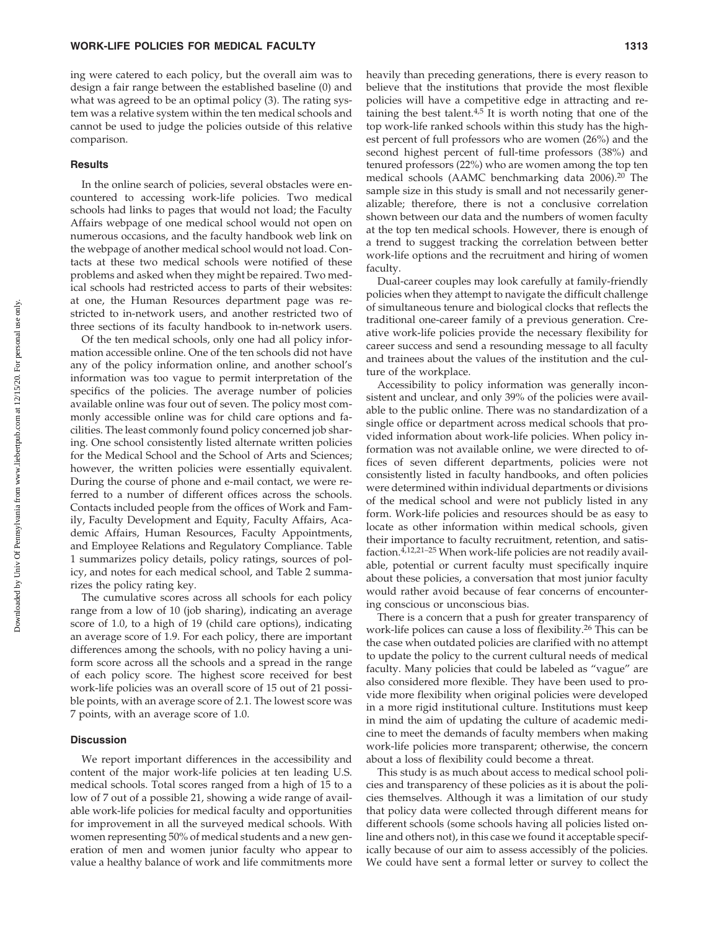ing were catered to each policy, but the overall aim was to design a fair range between the established baseline (0) and what was agreed to be an optimal policy (3). The rating system was a relative system within the ten medical schools and cannot be used to judge the policies outside of this relative comparison.

# **Results**

In the online search of policies, several obstacles were encountered to accessing work-life policies. Two medical schools had links to pages that would not load; the Faculty Affairs webpage of one medical school would not open on numerous occasions, and the faculty handbook web link on the webpage of another medical school would not load. Contacts at these two medical schools were notified of these problems and asked when they might be repaired. Two medical schools had restricted access to parts of their websites: at one, the Human Resources department page was restricted to in-network users, and another restricted two of three sections of its faculty handbook to in-network users.

Of the ten medical schools, only one had all policy information accessible online. One of the ten schools did not have any of the policy information online, and another school's information was too vague to permit interpretation of the specifics of the policies. The average number of policies available online was four out of seven. The policy most commonly accessible online was for child care options and facilities. The least commonly found policy concerned job sharing. One school consistently listed alternate written policies for the Medical School and the School of Arts and Sciences; however, the written policies were essentially equivalent. During the course of phone and e-mail contact, we were referred to a number of different offices across the schools. Contacts included people from the offices of Work and Family, Faculty Development and Equity, Faculty Affairs, Academic Affairs, Human Resources, Faculty Appointments, and Employee Relations and Regulatory Compliance. Table 1 summarizes policy details, policy ratings, sources of policy, and notes for each medical school, and Table 2 summarizes the policy rating key.

The cumulative scores across all schools for each policy range from a low of 10 (job sharing), indicating an average score of 1.0, to a high of 19 (child care options), indicating an average score of 1.9. For each policy, there are important differences among the schools, with no policy having a uniform score across all the schools and a spread in the range of each policy score. The highest score received for best work-life policies was an overall score of 15 out of 21 possible points, with an average score of 2.1. The lowest score was 7 points, with an average score of 1.0.

#### **Discussion**

We report important differences in the accessibility and content of the major work-life policies at ten leading U.S. medical schools. Total scores ranged from a high of 15 to a low of 7 out of a possible 21, showing a wide range of available work-life policies for medical faculty and opportunities for improvement in all the surveyed medical schools. With women representing 50% of medical students and a new generation of men and women junior faculty who appear to value a healthy balance of work and life commitments more

heavily than preceding generations, there is every reason to believe that the institutions that provide the most flexible policies will have a competitive edge in attracting and retaining the best talent. $4.5$  It is worth noting that one of the top work-life ranked schools within this study has the highest percent of full professors who are women (26%) and the second highest percent of full-time professors (38%) and tenured professors (22%) who are women among the top ten medical schools (AAMC benchmarking data 2006).<sup>20</sup> The sample size in this study is small and not necessarily generalizable; therefore, there is not a conclusive correlation shown between our data and the numbers of women faculty at the top ten medical schools. However, there is enough of a trend to suggest tracking the correlation between better work-life options and the recruitment and hiring of women faculty.

Dual-career couples may look carefully at family-friendly policies when they attempt to navigate the difficult challenge of simultaneous tenure and biological clocks that reflects the traditional one-career family of a previous generation. Creative work-life policies provide the necessary flexibility for career success and send a resounding message to all faculty and trainees about the values of the institution and the culture of the workplace.

Accessibility to policy information was generally inconsistent and unclear, and only 39% of the policies were available to the public online. There was no standardization of a single office or department across medical schools that provided information about work-life policies. When policy information was not available online, we were directed to offices of seven different departments, policies were not consistently listed in faculty handbooks, and often policies were determined within individual departments or divisions of the medical school and were not publicly listed in any form. Work-life policies and resources should be as easy to locate as other information within medical schools, given their importance to faculty recruitment, retention, and satisfaction.<sup>4,12,21-25</sup> When work-life policies are not readily available, potential or current faculty must specifically inquire about these policies, a conversation that most junior faculty would rather avoid because of fear concerns of encountering conscious or unconscious bias.

There is a concern that a push for greater transparency of work-life polices can cause a loss of flexibility.<sup>26</sup> This can be the case when outdated policies are clarified with no attempt to update the policy to the current cultural needs of medical faculty. Many policies that could be labeled as "vague" are also considered more flexible. They have been used to provide more flexibility when original policies were developed in a more rigid institutional culture. Institutions must keep in mind the aim of updating the culture of academic medicine to meet the demands of faculty members when making work-life policies more transparent; otherwise, the concern about a loss of flexibility could become a threat.

This study is as much about access to medical school policies and transparency of these policies as it is about the policies themselves. Although it was a limitation of our study that policy data were collected through different means for different schools (some schools having all policies listed online and others not), in this case we found it acceptable specifically because of our aim to assess accessibly of the policies. We could have sent a formal letter or survey to collect the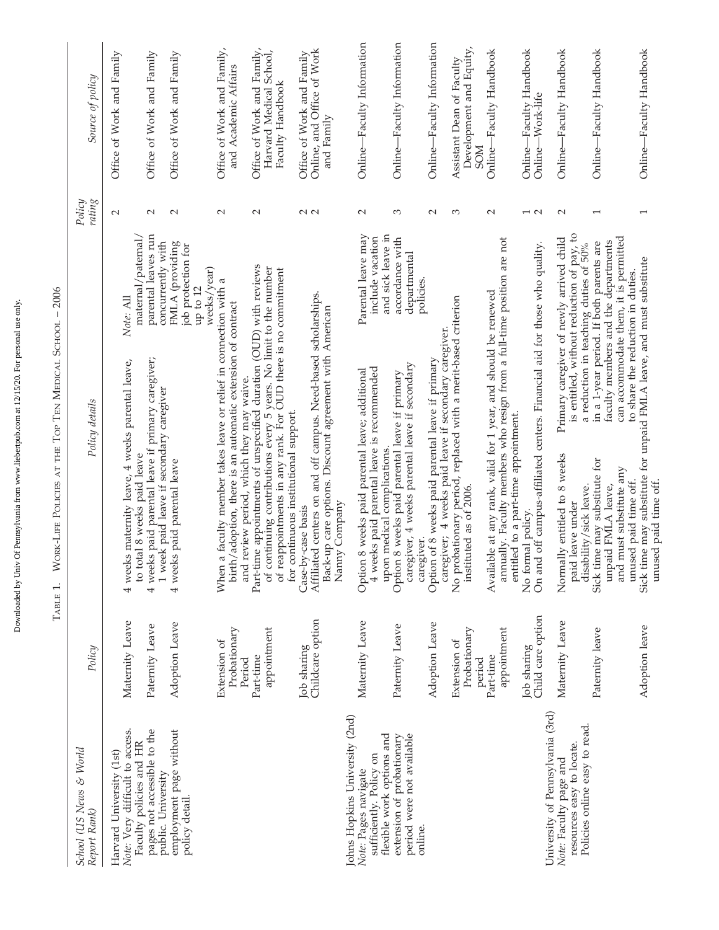| ;                                     |
|---------------------------------------|
|                                       |
|                                       |
| i                                     |
|                                       |
|                                       |
| ł<br> <br>                            |
| į<br>$\ddot{\phantom{a}}$             |
|                                       |
| į                                     |
|                                       |
| $\frac{1}{2}$                         |
| í                                     |
|                                       |
|                                       |
|                                       |
|                                       |
|                                       |
|                                       |
|                                       |
|                                       |
|                                       |
| i                                     |
|                                       |
|                                       |
|                                       |
|                                       |
|                                       |
| i<br>Santa Caracasa<br>Santa Caracasa |
| ١<br>l                                |
|                                       |

| Note: Very difficult to access.<br>pages not accessible to the<br>Faculty policies and HR<br>School (US News & World<br>Harvard University (1st) | Maternity Leave<br>Paternity Leave<br>Policy | 4 weeks paid parental leave if primary caregiver;<br>4 weeks maternity leave, 4 weeks parental leave,<br>Policy details<br>total 8 weeks paid leave<br>$\mathfrak{a}$                                                                                                                                                                                                     | parental leaves run<br>matemal/patemal/<br>Note: All                                                                    | Policy<br>rating<br>$\sim$<br>$\sim$ | Office of Work and Family<br>Office of Work and Family<br>Source of policy                        |
|--------------------------------------------------------------------------------------------------------------------------------------------------|----------------------------------------------|---------------------------------------------------------------------------------------------------------------------------------------------------------------------------------------------------------------------------------------------------------------------------------------------------------------------------------------------------------------------------|-------------------------------------------------------------------------------------------------------------------------|--------------------------------------|---------------------------------------------------------------------------------------------------|
|                                                                                                                                                  | Adoption Leave<br>Extension of               | When a faculty member takes leave or relief in connection with a<br>1 week paid leave if secondary caregiver<br>4 weeks paid parental leave                                                                                                                                                                                                                               | concurrently with<br>FMLA (providing<br>job protection for<br>weeks/year)<br>up to 12                                   | $\sim$<br>$\sim$                     | Office of Work and Family,<br>Office of Work and Family                                           |
| Part-time                                                                                                                                        | Probationary<br>appointment<br>Period        | Part-time appointments of unspecified duration (OUD) with reviews<br>continuing contributions every 5 years. No limit to the number<br>of reappointments in any rank. For OUD there is no commitment<br>birth/adoption, there is an automatic extension of contract<br>and review period, which they may waive.<br>continuous institutional support.<br>for<br>$\sigma f$ |                                                                                                                         | $\sim$                               | Office of Work and Family,<br>Harvard Medical School,<br>and Academic Affairs<br>Faculty Handbook |
|                                                                                                                                                  | Childcare option<br>Job sharing              | Affiliated centers on and off campus. Need-based scholarships.<br>Back-up care options. Discount agreement with American<br>Nanny Company<br>Case-by-case basis                                                                                                                                                                                                           |                                                                                                                         | $\sim$ $\sim$                        | Online, and Office of Work<br>Office of Work and Family<br>and Family                             |
|                                                                                                                                                  | Maternity Leave                              | 4 weeks paid parental leave is recommended<br>Option 8 weeks paid parental leave; additional<br>upon medical complications.                                                                                                                                                                                                                                               | and sick leave in<br>Parental leave may<br>include vacation                                                             | $\sim$                               | Online-Faculty Information                                                                        |
|                                                                                                                                                  | Paternity Leave                              | caregiver, 4 weeks parental leave if secondary<br>Option 8 weeks paid parental leave if primary<br>caregiver.                                                                                                                                                                                                                                                             | accordance with<br>departmental<br>policies.                                                                            | 3                                    | Online-Faculty Information                                                                        |
|                                                                                                                                                  | Adoption Leave                               | caregiver; 4 weeks paid leave if secondary caregiver.<br>Option of 8 weeks paid parental leave if primary                                                                                                                                                                                                                                                                 |                                                                                                                         | $\sim$                               | Online-Faculty Information                                                                        |
| period                                                                                                                                           | Probationary<br>Extension of                 | No probationary period, replaced with a merit-based criterion<br>tituted as of 2006.<br>ins                                                                                                                                                                                                                                                                               |                                                                                                                         | 3                                    | Development and Equity,<br>Assistant Dean of Faculty<br><b>NOS</b>                                |
| Part-time                                                                                                                                        | appointment                                  | annually. Faculty members who resign from a full-time position are not<br>Available at any rank, valid for 1 year, and should be renewed<br>entitled to a part-time appointment.                                                                                                                                                                                          |                                                                                                                         | $\sim$                               | Online-Faculty Handbook                                                                           |
|                                                                                                                                                  | Child care option<br>Job sharing             | On and off campus-affiliated centers. Financial aid for those who quality<br>No formal policy.                                                                                                                                                                                                                                                                            |                                                                                                                         | $\overline{\phantom{a}}$             | Online-Faculty Handbook<br>Online-Work-life                                                       |
|                                                                                                                                                  | Maternity Leave                              | Primary caregiver of newly arrived child<br>Normally entitled to 8 weeks<br>disability/sick leave.<br>paid leave under                                                                                                                                                                                                                                                    | is entitled, without reduction of pay, to<br>a reduction in teaching duties of 50%                                      | $\sim$                               | Online-Faculty Handbook                                                                           |
|                                                                                                                                                  | Paternity leave                              | to share the reduction in duties.<br>Sick time may substitute for<br>and must substitute any<br>unused paid time off.<br>unpaid FMLA leave,                                                                                                                                                                                                                               | can accommodate them, it is permitted<br>faculty members and the departments<br>in a 1-year period. If both parents are | $\overline{\phantom{0}}$             | Online—Faculty Handbook                                                                           |
|                                                                                                                                                  | Adoption leave                               | Sick time may substitute for unpaid FMLA leave, and must substitute<br>unused paid time off.                                                                                                                                                                                                                                                                              |                                                                                                                         | $\overline{\phantom{0}}$             | Online—Faculty Handbook                                                                           |

TABLE 1. WORK-LIFE POLICIES AT THE Ĉ TEN MEDICAL SCHOOL – 2006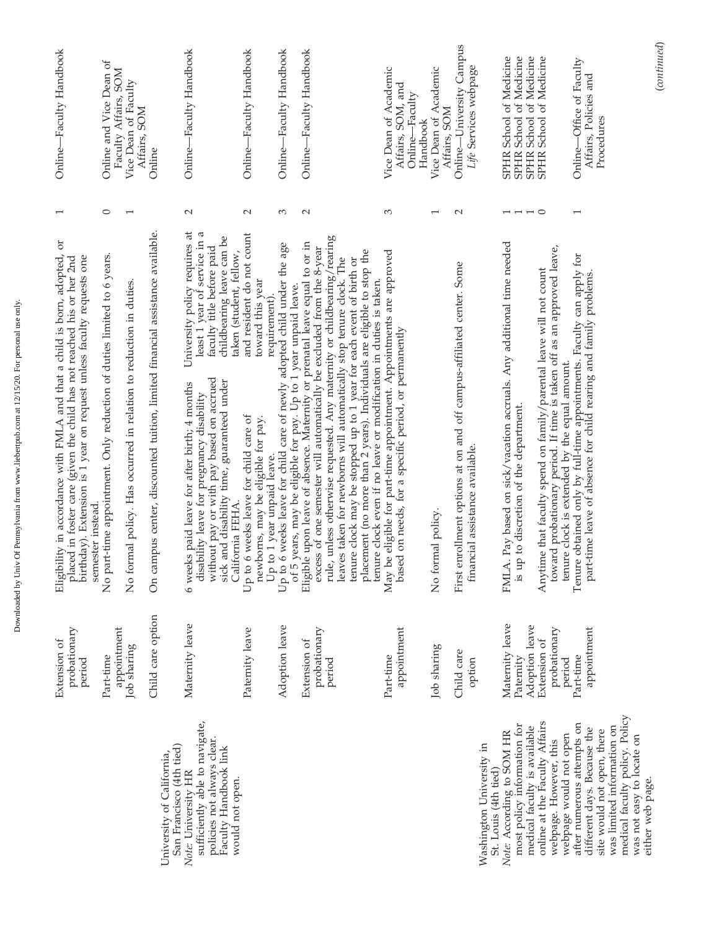|                                                                                                                                                         | probationary<br>Extension of<br>Part-time<br>period | ð<br>Eligibility in accordance with FMLA and that a child is born, adopted,<br>No part-time appointment. Only reduction of duties limited to 6 years.<br>birthday). Extension is 1 year on request unless faculty requests one<br>placed in foster care (given the child has not reached his or her 2nd<br>semester instead.                                                                                                                                                                                                | $\circ$                  | Online-Faculty Handbook<br>Online and Vice Dean of                                       |
|---------------------------------------------------------------------------------------------------------------------------------------------------------|-----------------------------------------------------|-----------------------------------------------------------------------------------------------------------------------------------------------------------------------------------------------------------------------------------------------------------------------------------------------------------------------------------------------------------------------------------------------------------------------------------------------------------------------------------------------------------------------------|--------------------------|------------------------------------------------------------------------------------------|
|                                                                                                                                                         | appointment<br>Job sharing                          | No formal policy. Has occurred in relation to reduction in duties.                                                                                                                                                                                                                                                                                                                                                                                                                                                          | $\overline{\phantom{0}}$ | Faculty Affairs, SOM<br>Vice Dean of Faculty<br>Affairs, SOM                             |
|                                                                                                                                                         | Child care option                                   | On campus center, discounted tuition, limited financial assistance available.                                                                                                                                                                                                                                                                                                                                                                                                                                               |                          | Online                                                                                   |
| sufficiently able to navigate,                                                                                                                          | Matemity leave                                      | đ<br>least 1 year of service in a<br>childbearing leave can be<br>University policy requires<br>faculty title before paid<br>taken (student, fellow,<br>without pay or with pay based on accrued<br>sick and disability time, guaranteed under<br>6 weeks paid leave for after birth; 4 months<br>disability leave for pregnancy disability<br>California FEHA.                                                                                                                                                             | $\sim$                   | Online-Faculty Handbook                                                                  |
|                                                                                                                                                         | Paternity leave                                     | and resident do not count<br>toward this year<br>requirement)<br>Up to 6 weeks leave for child care of<br>newborns, may be eligible for pay.<br>Up to 1 year unpaid leave.                                                                                                                                                                                                                                                                                                                                                  | $\sim$                   | Online—Faculty Handbook                                                                  |
|                                                                                                                                                         | Adoption leave                                      | Up to 6 weeks leave for child care of newly adopted child under the age<br>years, may be eligible for pay. Up to 1 year unpaid leave.<br>of $51$                                                                                                                                                                                                                                                                                                                                                                            | 3                        | Online-Faculty Handbook                                                                  |
|                                                                                                                                                         | probationary<br>Extension of<br>period              | rule, unless otherwise requested. Any maternity or childbearing/rearing<br>Eligible upon leave of absence. Maternity or prenatal leave equal to or in<br>excess of one semester will automatically be excluded from the 8-year<br>placement (no more than 2 years). Individuals are eligible to stop the<br>leaves taken for newborns will automatically stop tenure clock. The<br>tenure clock may be stopped up to 1 year for each event of birth or<br>tenure clock even if no leave or modification in duties is taken. | $\sim$                   | Online—Faculty Handbook                                                                  |
|                                                                                                                                                         | appointment<br>Part-time                            | May be eligible for part-time appointment. Appointments are approved<br>based on needs, for a specific period, or permanently                                                                                                                                                                                                                                                                                                                                                                                               | 3                        | Vice Dean of Academic<br>Affairs, SOM, and<br>$-Facuity$<br>Handbook<br>Online-          |
|                                                                                                                                                         | Job sharing                                         | No formal policy.                                                                                                                                                                                                                                                                                                                                                                                                                                                                                                           | $\overline{\phantom{0}}$ | Vice Dean of Academic<br>Affairs, SOM                                                    |
|                                                                                                                                                         | Child care<br>option                                | First enrollment options at on and off campus-affiliated center. Some<br>financial assistance available.                                                                                                                                                                                                                                                                                                                                                                                                                    | $\sim$                   | Online-University Campus<br>Life Services webpage                                        |
| most policy information for<br>medical faculty is available                                                                                             | Maternity leave<br>Adoption leave<br>Patemity       | Pay based on sick/vacation accruals. Any additional time needed<br>to discretion of the department.<br>FMLA.<br>is up                                                                                                                                                                                                                                                                                                                                                                                                       | $-110$                   | SPHR School of Medicine<br>School of Medicine<br>SPHR School of Medicine<br><b>SPHIR</b> |
| online at the Faculty Affairs                                                                                                                           | probationary<br>Extension of<br>period              | toward probationary period. If time is taken off as an approved leave,<br>Anytime that faculty spend on family/parental leave will not count<br>tenure clock is extended by the equal amount.                                                                                                                                                                                                                                                                                                                               |                          | School of Medicine<br><b>SPHIR</b>                                                       |
| medical faculty policy. Policy<br>after numerous attempts on<br>was limited information on<br>different days. Because the<br>site would not open, there | appointment<br>Part-time                            | obtained only by full-time appointments. Faculty can apply for<br>part-time leave of absence for child rearing and family problems.<br>Tenure                                                                                                                                                                                                                                                                                                                                                                               |                          | Online-Office of Faculty<br>Affairs, Policies and<br>Procedures                          |
|                                                                                                                                                         |                                                     |                                                                                                                                                                                                                                                                                                                                                                                                                                                                                                                             |                          |                                                                                          |

(*continued*)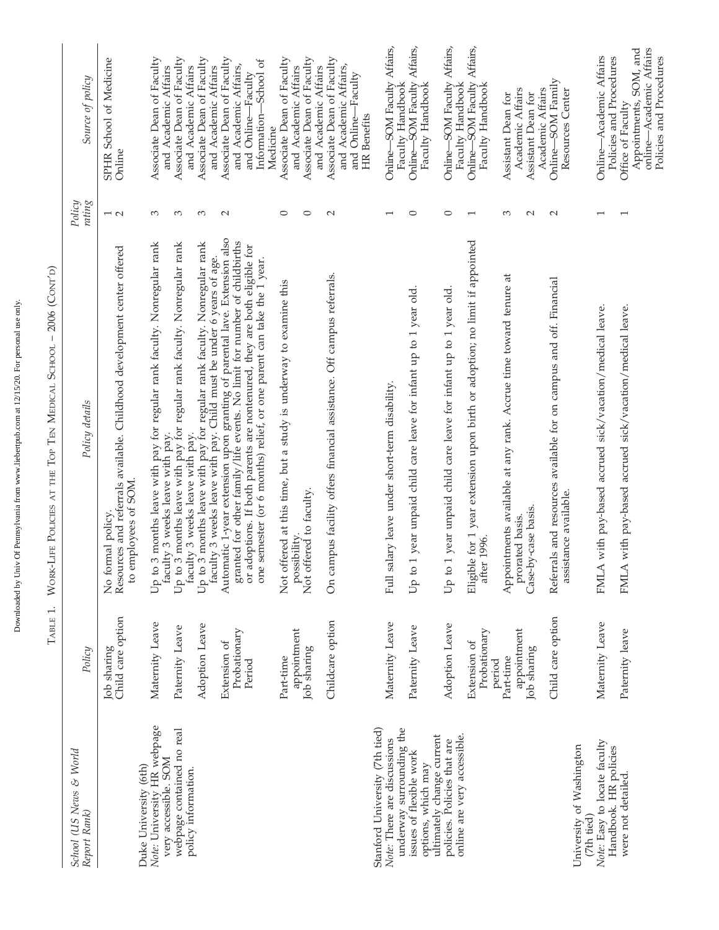| l      |
|--------|
|        |
|        |
|        |
| i      |
| ļ      |
|        |
|        |
|        |
|        |
|        |
|        |
| í      |
|        |
|        |
|        |
|        |
|        |
|        |
|        |
|        |
|        |
| ļ<br>l |
|        |
| j      |
|        |
|        |
|        |
|        |
|        |
| ļ<br>ı |

| School (US News & World<br>Report Rank)                                                                   | Policy                                 | Policy details                                                                                                                                                                                                                   | rating<br>Policy         | Source of policy                                                                                  |
|-----------------------------------------------------------------------------------------------------------|----------------------------------------|----------------------------------------------------------------------------------------------------------------------------------------------------------------------------------------------------------------------------------|--------------------------|---------------------------------------------------------------------------------------------------|
|                                                                                                           | Child care option<br>Job sharing       | Resources and referrals available. Childhood development center offered<br>to employees of SOM.<br>No formal policy                                                                                                              | $\frac{1}{2}$            | SPHR School of Medicine<br>Online                                                                 |
| Note: University HR webpage<br>webpage contained no real<br>very accessible. SOM<br>Duke University (6th) | Maternity Leave<br>Paternity Leave     | 3 months leave with pay for regular rank faculty. Nonregular rank<br>3 months leave with pay for regular rank faculty. Nonregular rank<br>faculty 3 weeks leave with pay.<br>Up to<br>Up to                                      | 3<br>S                   | Associate Dean of Faculty<br>Associate Dean of Faculty<br>and Academic Affairs                    |
| policy information.                                                                                       | Adoption Leave                         | 3 months leave with pay for regular rank faculty. Nonregular rank<br>faculty 3 weeks leave with pay.<br>Up to                                                                                                                    | 3                        | Associate Dean of Faculty<br>and Academic Affairs                                                 |
|                                                                                                           | Extension of                           | Automatic 1-year extension upon granting of parental lave. Extension also<br>faculty 3 weeks leave with pay. Child must be under 6 years of age.                                                                                 | $\sim$                   | Associate Dean of Faculty<br>and Academic Affairs                                                 |
|                                                                                                           | Probationary<br>Period                 | granted for other family/life events. No limit for number of childbirths<br>or adoptions. If both parents are nontenured, they are both eligible for<br>semester (or 6 months) relief, or one parent can take the 1 year.<br>one |                          | School of<br>and Academic Affairs,<br>and Online-Faculty<br>Information-<br>Medicine              |
|                                                                                                           | appointment<br>Part-time               | Not offered at this time, but a study is underway to examine this<br>possibility                                                                                                                                                 | $\circ$                  | Associate Dean of Faculty<br>and Academic Affairs                                                 |
|                                                                                                           | Job sharing                            | Not offered to faculty.                                                                                                                                                                                                          | $\circ$                  | Associate Dean of Faculty<br>and Academic Affairs                                                 |
|                                                                                                           | Childcare option                       | On campus facility offers financial assistance. Off campus referrals.                                                                                                                                                            | $\sim$                   | Associate Dean of Faculty<br>and Academic Affairs,<br>and Online-Faculty<br>HR Benefits           |
| Stanford University (7th tied)<br>Note: There are discussions                                             | Maternity Leave                        | Full salary leave under short-term disability.                                                                                                                                                                                   |                          | Online-SOM Faculty Affairs,<br>Faculty Handbook                                                   |
| underway surrounding the<br>issues of flexible work<br>options, which may                                 | Paternity Leave                        | 1 year unpaid child care leave for infant up to 1 year old.<br>op to                                                                                                                                                             | $\circ$                  | Online-SOM Faculty Affairs,<br>Faculty Handbook                                                   |
| ultimately change current<br>policies. Policies that are                                                  | Adoption Leave                         | 1 year unpaid child care leave for infant up to 1 year old.<br>o <sub>p</sub> to                                                                                                                                                 | $\circ$                  | Online-SOM Faculty Affairs,                                                                       |
| online are very accessible.                                                                               | Probationary<br>Extension of<br>period | Eligible for 1 year extension upon birth or adoption; no limit if appointed<br>after 1996.                                                                                                                                       | $\overline{\phantom{0}}$ | Online-SOM Faculty Affairs,<br>Faculty Handbook<br>Faculty Handbook                               |
|                                                                                                           | appointment<br>Part-time               | Appointments available at any rank. Accrue time toward tenure at<br>prorated basis.                                                                                                                                              | 3                        | Academic Affairs<br>Assistant Dean for                                                            |
|                                                                                                           | Job <sup>sharing</sup>                 | Case-by-case basis.                                                                                                                                                                                                              | $\sim$                   | Academic Affairs<br>Assistant Dean for                                                            |
| University of Washington                                                                                  | Child care option                      | Referrals and resources available for on campus and off. Financial<br>assistance available.                                                                                                                                      | $\sim$                   | Online-SOM Family<br>Resources Center                                                             |
| Note: Easy to locate faculty<br>(7th tied)                                                                | Maternity Leave                        | FMLA with pay-based accrued sick/vacation/medical leave.                                                                                                                                                                         |                          | Online-Academic Affairs                                                                           |
| Handbook. HR policies<br>were not detailed.                                                               | Paternity leave                        | FMLA with pay-based accrued sick/vacation/medical leave.                                                                                                                                                                         |                          | online—Academic Affairs<br>Appointments, SOM, and<br>Policies and Procedures<br>Office of Faculty |

Policies and Procedures

Policies and Procedures

TABLE 1. WORK-LIFE POLICIES AT THE Ĉ TEN MEDICAL SCHOOL – 2006 (CONT'D)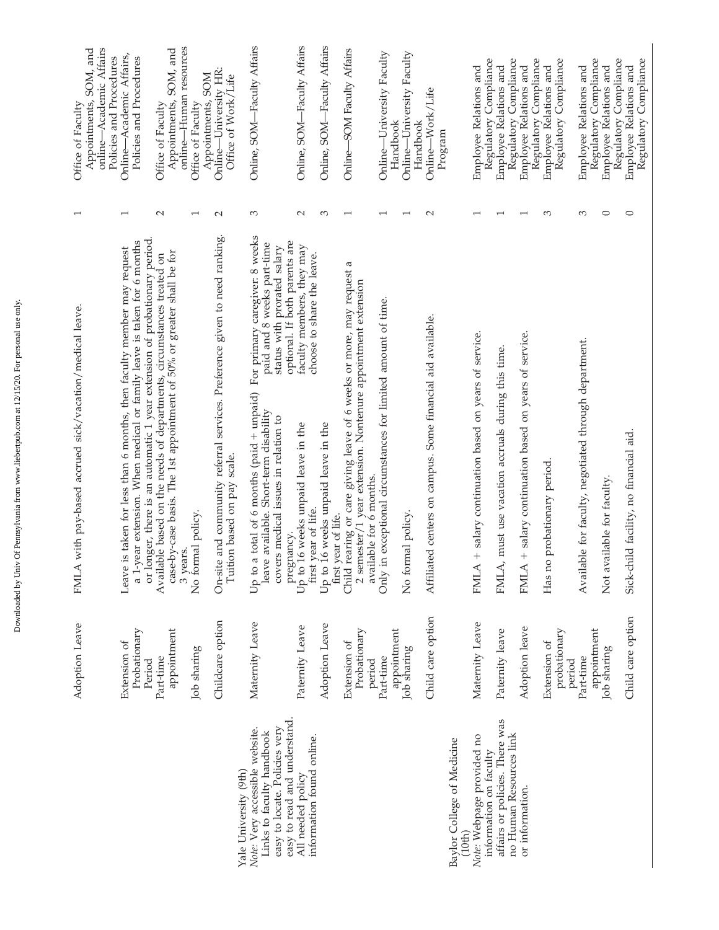|                                                                                              | Adoption Leave                          | A with pay-based accrued sick/vacation/medical leave.<br>FML                                                                                                                                                                |                          | online-Academic Affairs<br>Appointments, SOM, and<br>Policies and Procedures<br>Office of Faculty |
|----------------------------------------------------------------------------------------------|-----------------------------------------|-----------------------------------------------------------------------------------------------------------------------------------------------------------------------------------------------------------------------------|--------------------------|---------------------------------------------------------------------------------------------------|
|                                                                                              | Probationary<br>Extension of            | -year extension. When medical or family leave is taken for 6 months<br>Leave is taken for less than 6 months, then faculty member may request<br>$\frac{1}{a}$                                                              | $\overline{\phantom{0}}$ | Online-Academic Affairs,<br>Policies and Procedures                                               |
|                                                                                              | appointment<br>Part-time<br>Period      | or longer, there is an automatic 1 year extension of probationary period<br>case-by-case basis. The 1st appointment of 50% or greater shall be for<br>Available based on the needs of departments, circumstances treated on | $\sim$                   | online-Human resources<br>Appointments, SOM, and<br>Office of Faculty                             |
|                                                                                              | Job sharing                             | No formal policy<br>3 years.                                                                                                                                                                                                | $\overline{\phantom{0}}$ | Appointments, SOM<br>Office of Faculty                                                            |
| Yale University (9th)                                                                        | Childcare option                        | On-site and community referral services. Preference given to need ranking.<br>Tuition based on pay scale.                                                                                                                   | $\sim$                   | Online-University HR:<br>Office of Work/Life                                                      |
| easy to locate. Policies very<br>Note: Very accessible website.<br>Links to faculty handbook | Maternity Leave                         | Up to a total of 6 months (paid + unpaid) For primary caregiver: 8 weeks leave available. Short-term disability paid and 8 weeks part-time<br>status with prorated salary<br>covers medical issues in relation to           | 3                        | Online, SOM-Faculty Affairs                                                                       |
| easy to read and understand.<br>information found online.<br>All needed policy               | Paternity Leave                         | optional. If both parents are<br>faculty members, they may<br>choose to share the leave.<br>pregnancy.<br>Up to 16 weeks unpaid leave in the<br>first year of life.                                                         | $\sim$                   | Online, SOM-Faculty Affairs                                                                       |
|                                                                                              | Adoption Leave                          | Up to 16 weeks unpaid leave in the                                                                                                                                                                                          | S                        | Online, SOM-Faculty Affairs                                                                       |
|                                                                                              | Probationary<br>Extension of<br>period  | a<br>Child rearing or care giving leave of 6 weeks or more, may request<br>2 semester/1 year extension. Nontenure appointment extension<br>available for 6 months.<br>first year of life.                                   | $\overline{\phantom{0}}$ | Online-SOM Faculty Affairs                                                                        |
|                                                                                              | appointment<br>Part-time                | Only in exceptional circumstances for limited amount of time.                                                                                                                                                               |                          | Online—University Faculty<br>Handbook                                                             |
|                                                                                              | Job sharing                             | No formal policy                                                                                                                                                                                                            |                          | Online—University Faculty<br>Handbook                                                             |
|                                                                                              | Child care option                       | iated centers on campus. Some financial aid available.<br>Affili                                                                                                                                                            | $\sim$                   | Online-Work/Life<br>Program                                                                       |
| Baylor College of Medicine<br>(10th)                                                         |                                         |                                                                                                                                                                                                                             |                          |                                                                                                   |
| Note: Webpage provided no<br>information on faculty                                          | Maternity Leave                         | FMLA + salary continuation based on years of service.                                                                                                                                                                       |                          | Regulatory Compliance<br>Employee Relations and                                                   |
| affairs or policies. There was<br>no Human Resources link                                    | Paternity leave                         | FMLA, must use vacation accruals during this time.                                                                                                                                                                          |                          | Employee Relations and                                                                            |
| or information.                                                                              | Adoption leave                          | A + salary continuation based on years of service.<br>FML.                                                                                                                                                                  | $\overline{\phantom{0}}$ | Regulatory Compliance<br>Employee Relations and                                                   |
|                                                                                              | probationary<br>Extension of            | no probationary period.<br>Has:                                                                                                                                                                                             | 3                        | Regulatory Compliance<br>Regulatory Compliance<br>Employee Relations and                          |
|                                                                                              | Part-time<br>period                     | Available for faculty, negotiated through department.                                                                                                                                                                       | 3                        | Employee Relations and                                                                            |
|                                                                                              | appointment<br>Job <sup>-</sup> sharing | available for faculty<br>$\overrightarrow{C}$                                                                                                                                                                               | $\circ$                  | Regulatory Compliance<br>Employee Relations and                                                   |
|                                                                                              | Child care option                       | Sick-child facility, no financial aid.                                                                                                                                                                                      | 0                        | Regulatory Compliance<br>Regulatory Compliance<br>Employee Relations and                          |
|                                                                                              |                                         |                                                                                                                                                                                                                             |                          |                                                                                                   |

Downloaded by Univ Of Pennsylvania from www.liebertpub.com at 12/15/20. For personal use only. Downloaded by Univ Of Pennsylvania from www.liebertpub.com at 12/15/20. For personal use only.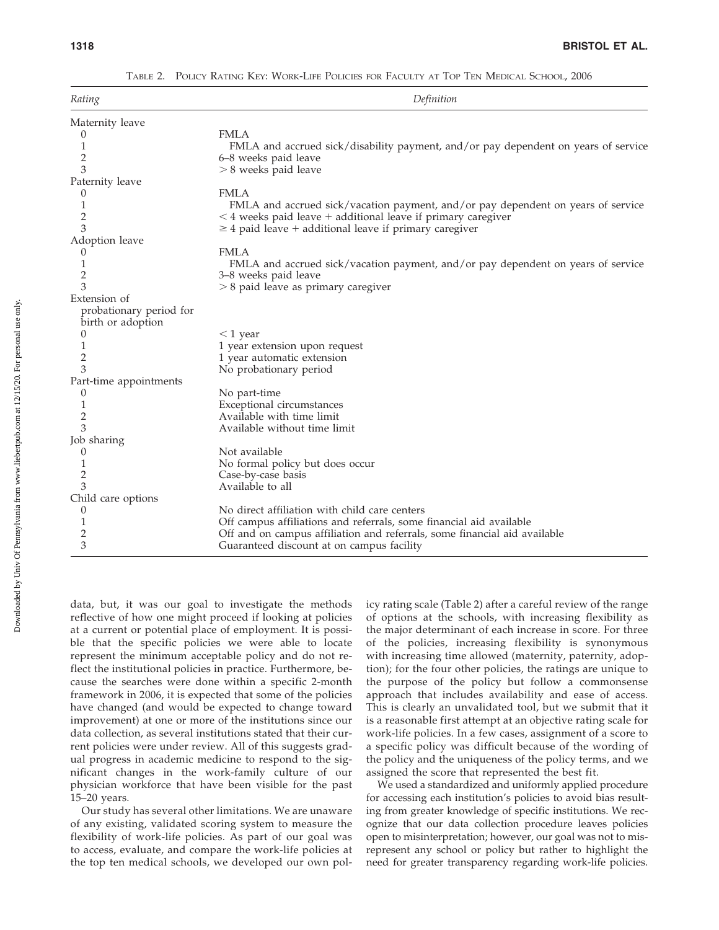| Rating                  | Definition                                                                         |
|-------------------------|------------------------------------------------------------------------------------|
| Maternity leave         |                                                                                    |
| $\theta$                | <b>FMLA</b>                                                                        |
| 1                       | FMLA and accrued sick/disability payment, and/or pay dependent on years of service |
| $\overline{2}$          | 6-8 weeks paid leave                                                               |
| 3                       | $> 8$ weeks paid leave                                                             |
| Paternity leave         |                                                                                    |
| $\theta$                | <b>FMLA</b>                                                                        |
| 1                       | FMLA and accrued sick/vacation payment, and/or pay dependent on years of service   |
| $\overline{c}$          | $<$ 4 weeks paid leave + additional leave if primary caregiver                     |
| 3                       | $\geq$ 4 paid leave + additional leave if primary caregiver                        |
| Adoption leave          |                                                                                    |
|                         | <b>FMLA</b>                                                                        |
| 1                       | FMLA and accrued sick/vacation payment, and/or pay dependent on years of service   |
| 2                       | 3-8 weeks paid leave                                                               |
| 3                       | $> 8$ paid leave as primary caregiver                                              |
| Extension of            |                                                                                    |
| probationary period for |                                                                                    |
| birth or adoption       |                                                                                    |
| 0                       | $\leq 1$ year                                                                      |
| 1                       | 1 year extension upon request                                                      |
| $\overline{2}$          | 1 year automatic extension                                                         |
| 3                       | No probationary period                                                             |
| Part-time appointments  |                                                                                    |
| $\theta$                | No part-time                                                                       |
| 1                       | Exceptional circumstances                                                          |
| $\overline{c}$          | Available with time limit                                                          |
| 3                       | Available without time limit                                                       |
| Job sharing             |                                                                                    |
| $\cup$                  | Not available                                                                      |
| 1                       | No formal policy but does occur                                                    |
| $\overline{c}$          | Case-by-case basis                                                                 |
| 3                       | Available to all                                                                   |
| Child care options      |                                                                                    |
| $\theta$                | No direct affiliation with child care centers                                      |
| 1                       | Off campus affiliations and referrals, some financial aid available                |
| $\overline{2}$          | Off and on campus affiliation and referrals, some financial aid available          |
| 3                       | Guaranteed discount at on campus facility                                          |

TABLE 2. POLICY RATING KEY: WORK-LIFE POLICIES FOR FACULTY AT TOP TEN MEDICAL SCHOOL, 2006

data, but, it was our goal to investigate the methods reflective of how one might proceed if looking at policies at a current or potential place of employment. It is possible that the specific policies we were able to locate represent the minimum acceptable policy and do not reflect the institutional policies in practice. Furthermore, because the searches were done within a specific 2-month framework in 2006, it is expected that some of the policies have changed (and would be expected to change toward improvement) at one or more of the institutions since our data collection, as several institutions stated that their current policies were under review. All of this suggests gradual progress in academic medicine to respond to the significant changes in the work-family culture of our physician workforce that have been visible for the past 15–20 years.

Our study has several other limitations. We are unaware of any existing, validated scoring system to measure the flexibility of work-life policies. As part of our goal was to access, evaluate, and compare the work-life policies at the top ten medical schools, we developed our own pol-

icy rating scale (Table 2) after a careful review of the range of options at the schools, with increasing flexibility as the major determinant of each increase in score. For three of the policies, increasing flexibility is synonymous with increasing time allowed (maternity, paternity, adoption); for the four other policies, the ratings are unique to the purpose of the policy but follow a commonsense approach that includes availability and ease of access. This is clearly an unvalidated tool, but we submit that it is a reasonable first attempt at an objective rating scale for work-life policies. In a few cases, assignment of a score to a specific policy was difficult because of the wording of the policy and the uniqueness of the policy terms, and we assigned the score that represented the best fit.

We used a standardized and uniformly applied procedure for accessing each institution's policies to avoid bias resulting from greater knowledge of specific institutions. We recognize that our data collection procedure leaves policies open to misinterpretation; however, our goal was not to misrepresent any school or policy but rather to highlight the need for greater transparency regarding work-life policies.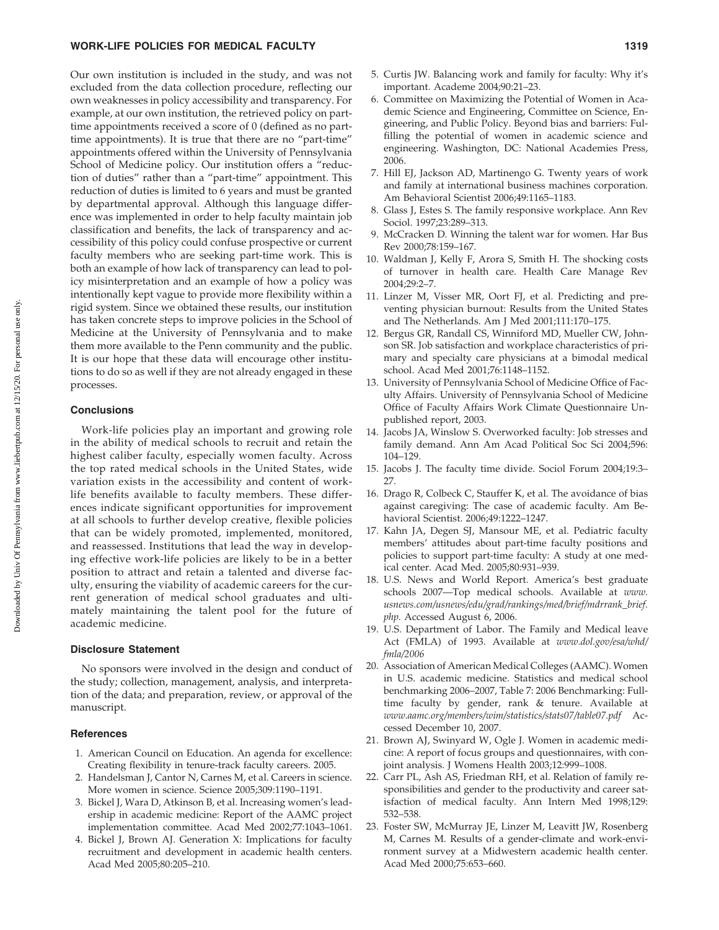# WORK-LIFE POLICIES FOR MEDICAL FACULTY **1319**

Our own institution is included in the study, and was not excluded from the data collection procedure, reflecting our own weaknesses in policy accessibility and transparency. For example, at our own institution, the retrieved policy on parttime appointments received a score of 0 (defined as no parttime appointments). It is true that there are no "part-time" appointments offered within the University of Pennsylvania School of Medicine policy. Our institution offers a "reduction of duties" rather than a "part-time" appointment. This reduction of duties is limited to 6 years and must be granted by departmental approval. Although this language difference was implemented in order to help faculty maintain job classification and benefits, the lack of transparency and accessibility of this policy could confuse prospective or current faculty members who are seeking part-time work. This is both an example of how lack of transparency can lead to policy misinterpretation and an example of how a policy was intentionally kept vague to provide more flexibility within a rigid system. Since we obtained these results, our institution has taken concrete steps to improve policies in the School of Medicine at the University of Pennsylvania and to make them more available to the Penn community and the public. It is our hope that these data will encourage other institutions to do so as well if they are not already engaged in these processes.

# **Conclusions**

Work-life policies play an important and growing role in the ability of medical schools to recruit and retain the highest caliber faculty, especially women faculty. Across the top rated medical schools in the United States, wide variation exists in the accessibility and content of worklife benefits available to faculty members. These differences indicate significant opportunities for improvement at all schools to further develop creative, flexible policies that can be widely promoted, implemented, monitored, and reassessed. Institutions that lead the way in developing effective work-life policies are likely to be in a better position to attract and retain a talented and diverse faculty, ensuring the viability of academic careers for the current generation of medical school graduates and ultimately maintaining the talent pool for the future of academic medicine.

## **Disclosure Statement**

No sponsors were involved in the design and conduct of the study; collection, management, analysis, and interpretation of the data; and preparation, review, or approval of the manuscript.

# **References**

- 1. American Council on Education. An agenda for excellence: Creating flexibility in tenure-track faculty careers. 2005.
- 2. Handelsman J, Cantor N, Carnes M, et al. Careers in science. More women in science. Science 2005;309:1190–1191.
- 3. Bickel J, Wara D, Atkinson B, et al. Increasing women's leadership in academic medicine: Report of the AAMC project implementation committee. Acad Med 2002;77:1043–1061.
- 4. Bickel J, Brown AJ. Generation X: Implications for faculty recruitment and development in academic health centers. Acad Med 2005;80:205–210.
- 5. Curtis JW. Balancing work and family for faculty: Why it's important. Academe 2004;90:21–23.
- 6. Committee on Maximizing the Potential of Women in Academic Science and Engineering, Committee on Science, Engineering, and Public Policy. Beyond bias and barriers: Fulfilling the potential of women in academic science and engineering. Washington, DC: National Academies Press, 2006.
- 7. Hill EJ, Jackson AD, Martinengo G. Twenty years of work and family at international business machines corporation. Am Behavioral Scientist 2006;49:1165–1183.
- 8. Glass J, Estes S. The family responsive workplace. Ann Rev Sociol. 1997;23:289–313.
- 9. McCracken D. Winning the talent war for women. Har Bus Rev 2000;78:159–167.
- 10. Waldman J, Kelly F, Arora S, Smith H. The shocking costs of turnover in health care. Health Care Manage Rev 2004;29:2–7.
- 11. Linzer M, Visser MR, Oort FJ, et al. Predicting and preventing physician burnout: Results from the United States and The Netherlands. Am J Med 2001;111:170–175.
- 12. Bergus GR, Randall CS, Winniford MD, Mueller CW, Johnson SR. Job satisfaction and workplace characteristics of primary and specialty care physicians at a bimodal medical school. Acad Med 2001;76:1148–1152.
- 13. University of Pennsylvania School of Medicine Office of Faculty Affairs. University of Pennsylvania School of Medicine Office of Faculty Affairs Work Climate Questionnaire Unpublished report, 2003.
- 14. Jacobs JA, Winslow S. Overworked faculty: Job stresses and family demand. Ann Am Acad Political Soc Sci 2004;596: 104–129.
- 15. Jacobs J. The faculty time divide. Sociol Forum 2004;19:3– 27.
- 16. Drago R, Colbeck C, Stauffer K, et al. The avoidance of bias against caregiving: The case of academic faculty. Am Behavioral Scientist. 2006;49:1222–1247.
- 17. Kahn JA, Degen SJ, Mansour ME, et al. Pediatric faculty members' attitudes about part-time faculty positions and policies to support part-time faculty: A study at one medical center. Acad Med. 2005;80:931–939.
- 18. U.S. News and World Report. America's best graduate schools 2007—Top medical schools. Available at *www. usnews.com/usnews/edu/grad/rankings/med/brief/mdrrank\_brief. php.* Accessed August 6, 2006.
- 19. U.S. Department of Labor. The Family and Medical leave Act (FMLA) of 1993. Available at *www.dol.gov/esa/whd/ fmla/2006*
- 20. Association of American Medical Colleges (AAMC). Women in U.S. academic medicine. Statistics and medical school benchmarking 2006–2007, Table 7: 2006 Benchmarking: Fulltime faculty by gender, rank & tenure. Available at *www.aamc.org/members/wim/statistics/stats07/table07.pdf* Accessed December 10, 2007.
- 21. Brown AJ, Swinyard W, Ogle J. Women in academic medicine: A report of focus groups and questionnaires, with conjoint analysis. J Womens Health 2003;12:999–1008.
- 22. Carr PL, Ash AS, Friedman RH, et al. Relation of family responsibilities and gender to the productivity and career satisfaction of medical faculty. Ann Intern Med 1998;129: 532–538.
- 23. Foster SW, McMurray JE, Linzer M, Leavitt JW, Rosenberg M, Carnes M. Results of a gender-climate and work-environment survey at a Midwestern academic health center. Acad Med 2000;75:653–660.